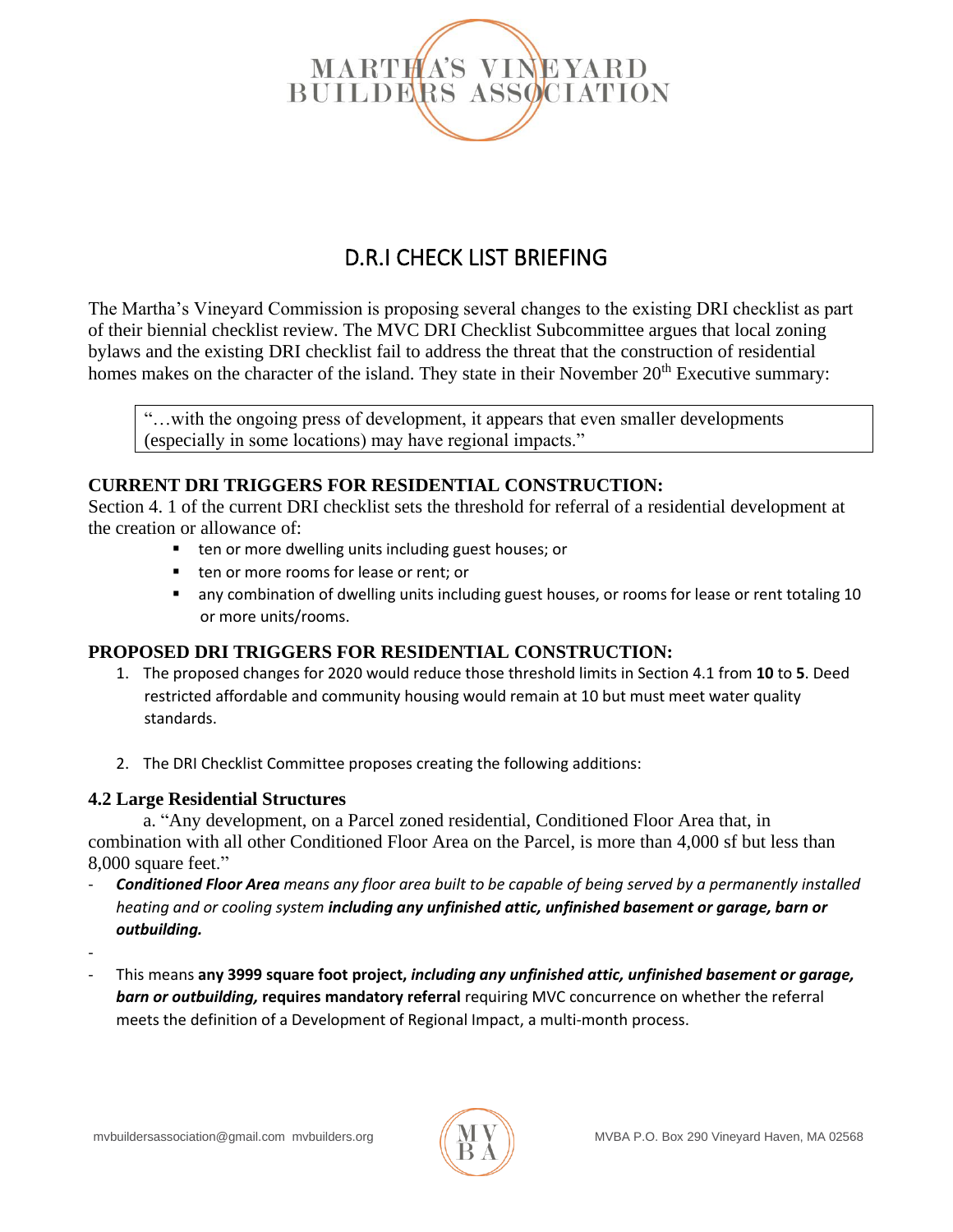

# D.R.I CHECK LIST BRIEFING

The Martha's Vineyard Commission is proposing several changes to the existing DRI checklist as part of their biennial checklist review. The MVC DRI Checklist Subcommittee argues that local zoning bylaws and the existing DRI checklist fail to address the threat that the construction of residential homes makes on the character of the island. They state in their November 20<sup>th</sup> Executive summary:

"…with the ongoing press of development, it appears that even smaller developments (especially in some locations) may have regional impacts."

# **CURRENT DRI TRIGGERS FOR RESIDENTIAL CONSTRUCTION:**

Section 4. 1 of the current DRI checklist sets the threshold for referral of a residential development at the creation or allowance of:

- ten or more dwelling units including guest houses; or
- ten or more rooms for lease or rent; or
- any combination of dwelling units including guest houses, or rooms for lease or rent totaling 10 or more units/rooms.

### **PROPOSED DRI TRIGGERS FOR RESIDENTIAL CONSTRUCTION:**

- 1. The proposed changes for 2020 would reduce those threshold limits in Section 4.1 from **10** to **5**. Deed restricted affordable and community housing would remain at 10 but must meet water quality standards.
- 2. The DRI Checklist Committee proposes creating the following additions:

### **4.2 Large Residential Structures**

a. "Any development, on a Parcel zoned residential, Conditioned Floor Area that, in combination with all other Conditioned Floor Area on the Parcel, is more than 4,000 sf but less than 8,000 square feet."

- *Conditioned Floor Area means any floor area built to be capable of being served by a permanently installed heating and or cooling system including any unfinished attic, unfinished basement or garage, barn or outbuilding.*
- -
- This means **any 3999 square foot project,** *including any unfinished attic, unfinished basement or garage, barn or outbuilding,* **requires mandatory referral** requiring MVC concurrence on whether the referral meets the definition of a Development of Regional Impact, a multi-month process.